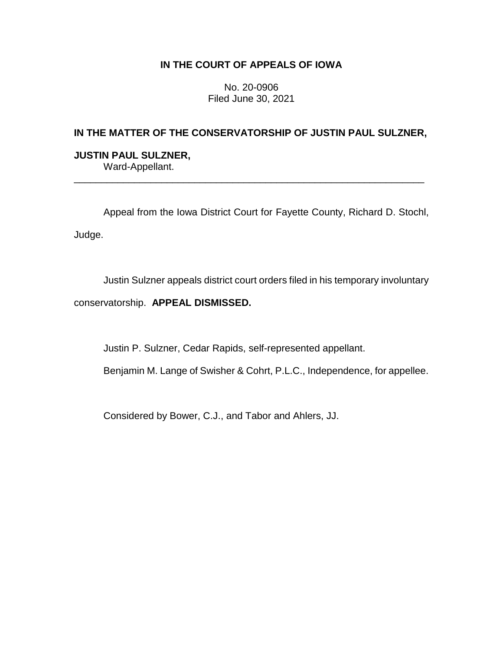## **IN THE COURT OF APPEALS OF IOWA**

No. 20-0906 Filed June 30, 2021

# **IN THE MATTER OF THE CONSERVATORSHIP OF JUSTIN PAUL SULZNER,**

\_\_\_\_\_\_\_\_\_\_\_\_\_\_\_\_\_\_\_\_\_\_\_\_\_\_\_\_\_\_\_\_\_\_\_\_\_\_\_\_\_\_\_\_\_\_\_\_\_\_\_\_\_\_\_\_\_\_\_\_\_\_\_\_

### **JUSTIN PAUL SULZNER,** Ward-Appellant.

Appeal from the Iowa District Court for Fayette County, Richard D. Stochl, Judge.

Justin Sulzner appeals district court orders filed in his temporary involuntary

conservatorship. **APPEAL DISMISSED.**

Justin P. Sulzner, Cedar Rapids, self-represented appellant.

Benjamin M. Lange of Swisher & Cohrt, P.L.C., Independence, for appellee.

Considered by Bower, C.J., and Tabor and Ahlers, JJ.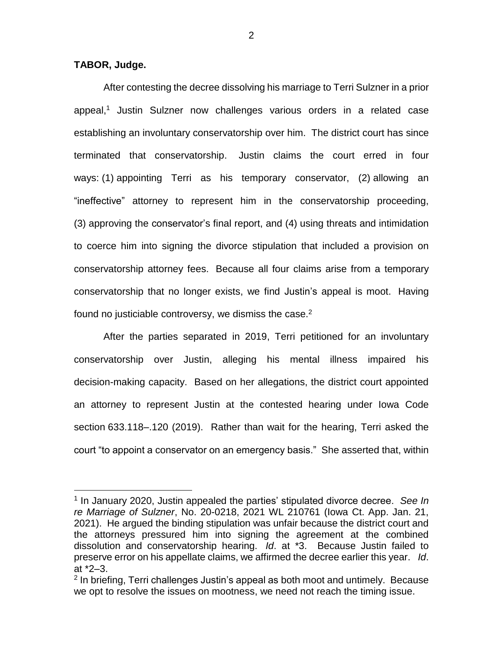### **TABOR, Judge.**

 $\overline{a}$ 

After contesting the decree dissolving his marriage to Terri Sulzner in a prior appeal,<sup>1</sup> Justin Sulzner now challenges various orders in a related case establishing an involuntary conservatorship over him. The district court has since terminated that conservatorship. Justin claims the court erred in four ways: (1) appointing Terri as his temporary conservator, (2) allowing an "ineffective" attorney to represent him in the conservatorship proceeding, (3) approving the conservator's final report, and (4) using threats and intimidation to coerce him into signing the divorce stipulation that included a provision on conservatorship attorney fees. Because all four claims arise from a temporary conservatorship that no longer exists, we find Justin's appeal is moot. Having found no justiciable controversy, we dismiss the case.<sup>2</sup>

After the parties separated in 2019, Terri petitioned for an involuntary conservatorship over Justin, alleging his mental illness impaired his decision-making capacity. Based on her allegations, the district court appointed an attorney to represent Justin at the contested hearing under Iowa Code section 633.118–.120 (2019). Rather than wait for the hearing, Terri asked the court "to appoint a conservator on an emergency basis." She asserted that, within

<sup>1</sup> In January 2020, Justin appealed the parties' stipulated divorce decree. *See In re Marriage of Sulzner*, No. 20-0218, 2021 WL 210761 (Iowa Ct. App. Jan. 21, 2021). He argued the binding stipulation was unfair because the district court and the attorneys pressured him into signing the agreement at the combined dissolution and conservatorship hearing. *Id*. at \*3. Because Justin failed to preserve error on his appellate claims, we affirmed the decree earlier this year. *Id*. at \*2–3.

<sup>&</sup>lt;sup>2</sup> In briefing, Terri challenges Justin's appeal as both moot and untimely. Because we opt to resolve the issues on mootness, we need not reach the timing issue.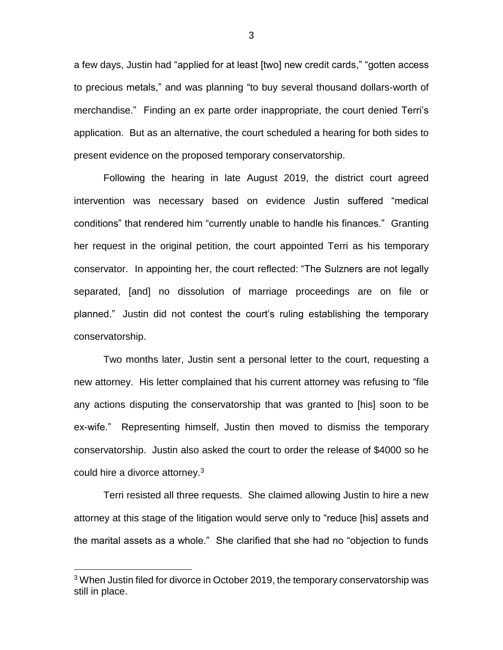a few days, Justin had "applied for at least [two] new credit cards," "gotten access to precious metals," and was planning "to buy several thousand dollars-worth of merchandise." Finding an ex parte order inappropriate, the court denied Terri's application. But as an alternative, the court scheduled a hearing for both sides to present evidence on the proposed temporary conservatorship.

Following the hearing in late August 2019, the district court agreed intervention was necessary based on evidence Justin suffered "medical conditions" that rendered him "currently unable to handle his finances." Granting her request in the original petition, the court appointed Terri as his temporary conservator. In appointing her, the court reflected: "The Sulzners are not legally separated, [and] no dissolution of marriage proceedings are on file or planned." Justin did not contest the court's ruling establishing the temporary conservatorship.

Two months later, Justin sent a personal letter to the court, requesting a new attorney. His letter complained that his current attorney was refusing to "file any actions disputing the conservatorship that was granted to [his] soon to be ex-wife." Representing himself, Justin then moved to dismiss the temporary conservatorship. Justin also asked the court to order the release of \$4000 so he could hire a divorce attorney.<sup>3</sup>

Terri resisted all three requests. She claimed allowing Justin to hire a new attorney at this stage of the litigation would serve only to "reduce [his] assets and the marital assets as a whole." She clarified that she had no "objection to funds

 $\overline{a}$ 

3

<sup>&</sup>lt;sup>3</sup> When Justin filed for divorce in October 2019, the temporary conservatorship was still in place.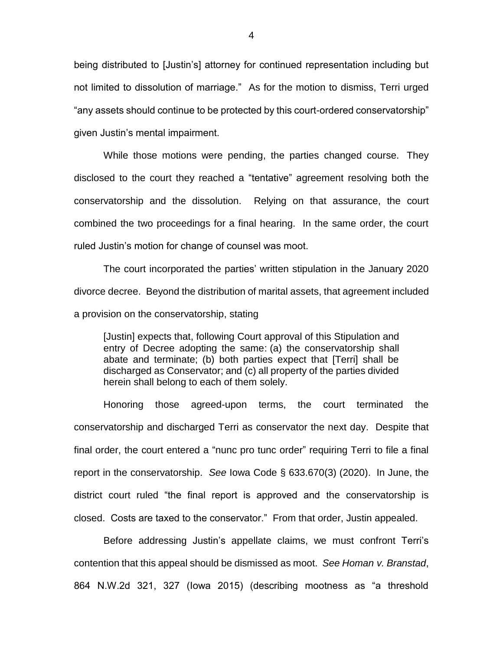being distributed to [Justin's] attorney for continued representation including but not limited to dissolution of marriage." As for the motion to dismiss, Terri urged "any assets should continue to be protected by this court-ordered conservatorship" given Justin's mental impairment.

While those motions were pending, the parties changed course. They disclosed to the court they reached a "tentative" agreement resolving both the conservatorship and the dissolution. Relying on that assurance, the court combined the two proceedings for a final hearing. In the same order, the court ruled Justin's motion for change of counsel was moot.

The court incorporated the parties' written stipulation in the January 2020 divorce decree. Beyond the distribution of marital assets, that agreement included a provision on the conservatorship, stating

[Justin] expects that, following Court approval of this Stipulation and entry of Decree adopting the same: (a) the conservatorship shall abate and terminate; (b) both parties expect that [Terri] shall be discharged as Conservator; and (c) all property of the parties divided herein shall belong to each of them solely.

Honoring those agreed-upon terms, the court terminated the conservatorship and discharged Terri as conservator the next day. Despite that final order, the court entered a "nunc pro tunc order" requiring Terri to file a final report in the conservatorship. *See* Iowa Code § 633.670(3) (2020). In June, the district court ruled "the final report is approved and the conservatorship is closed. Costs are taxed to the conservator." From that order, Justin appealed.

Before addressing Justin's appellate claims, we must confront Terri's contention that this appeal should be dismissed as moot. *See Homan v. Branstad*, 864 N.W.2d 321, 327 (Iowa 2015) (describing mootness as "a threshold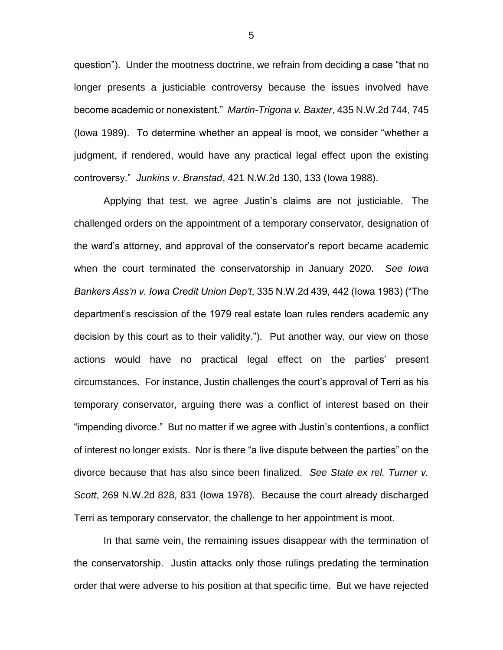question"). Under the mootness doctrine, we refrain from deciding a case "that no longer presents a justiciable controversy because the issues involved have become academic or nonexistent." *Martin-Trigona v. Baxter*, 435 N.W.2d 744, 745 (Iowa 1989). To determine whether an appeal is moot, we consider "whether a judgment, if rendered, would have any practical legal effect upon the existing controversy." *Junkins v. Branstad*, 421 N.W.2d 130, 133 (Iowa 1988).

Applying that test, we agree Justin's claims are not justiciable. The challenged orders on the appointment of a temporary conservator, designation of the ward's attorney, and approval of the conservator's report became academic when the court terminated the conservatorship in January 2020. *See Iowa Bankers Ass'n v. Iowa Credit Union Dep't*, 335 N.W.2d 439, 442 (Iowa 1983) ("The department's rescission of the 1979 real estate loan rules renders academic any decision by this court as to their validity."). Put another way, our view on those actions would have no practical legal effect on the parties' present circumstances. For instance, Justin challenges the court's approval of Terri as his temporary conservator, arguing there was a conflict of interest based on their "impending divorce." But no matter if we agree with Justin's contentions, a conflict of interest no longer exists. Nor is there "a live dispute between the parties" on the divorce because that has also since been finalized. *See State ex rel. Turner v. Scott*, 269 N.W.2d 828, 831 (Iowa 1978). Because the court already discharged Terri as temporary conservator, the challenge to her appointment is moot.

In that same vein, the remaining issues disappear with the termination of the conservatorship. Justin attacks only those rulings predating the termination order that were adverse to his position at that specific time. But we have rejected

5